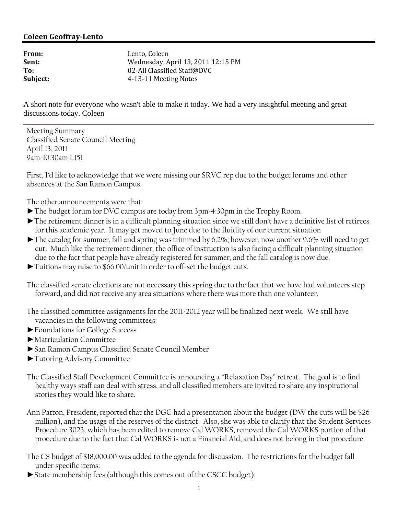## **Coleen GeoffrayLento**

| From:    | Lento. Coleen                      |
|----------|------------------------------------|
| Sent:    | Wednesday, April 13, 2011 12:15 PM |
| To:      | 02-All Classified Staff@DVC        |
| Subject: | 4-13-11 Meeting Notes              |
|          |                                    |

A short note for everyone who wasn't able to make it today. We had a very insightful meeting and great discussions today. Coleen

Meeting Summary Classified Senate Council Meeting April 13, 2011 9am-10:30am L151

First, I'd like to acknowledge that we were missing our SRVC rep due to the budget forums and other absences at the San Ramon Campus.

The other announcements were that:

- ►The budget forum for DVC campus are today from 3pm-4:30pm in the Trophy Room.
- ►The retirement dinner is in a difficult planning situation since we still don't have a definitive list of retirees for this academic year. It may get moved to June due to the fluidity of our current situation
- ►The catalog for summer, fall and spring was trimmed by 6.2%; however, now another 9.6% will need to get cut. Much like the retirement dinner, the office of instruction is also facing a difficult planning situation due to the fact that people have already registered for summer, and the fall catalog is now due.
- ►Tuitions may raise to \$66.00/unit in order to off-set the budget cuts.

The classified senate elections are not necessary this spring due to the fact that we have had volunteers step forward, and did not receive any area situations where there was more than one volunteer.

- The classified committee assignments for the 2011-2012 year will be finalized next week. We still have vacancies in the following committees:
- ►Foundations for College Success
- ►Matriculation Committee
- ►San Ramon Campus Classified Senate Council Member
- ►Tutoring Advisory Committee
- The Classified Staff Development Committee is announcing a "Relaxation Day" retreat. The goal is to find healthy ways staff can deal with stress, and all classified members are invited to share any inspirational stories they would like to share.
- Ann Patton, President, reported that the DGC had a presentation about the budget (DW the cuts will be \$26 million), and the usage of the reserves of the district. Also, she was able to clarify that the Student Services Procedure 3023; which has been edited to remove Cal WORKS, removed the Cal WORKS portion of that procedure due to the fact that Cal WORKS is not a Financial Aid, and does not belong in that procedure.
- The CS budget of \$18,000.00 was added to the agenda for discussion. The restrictions for the budget fall under specific items:
- ►State membership fees (although this comes out of the CSCC budget);